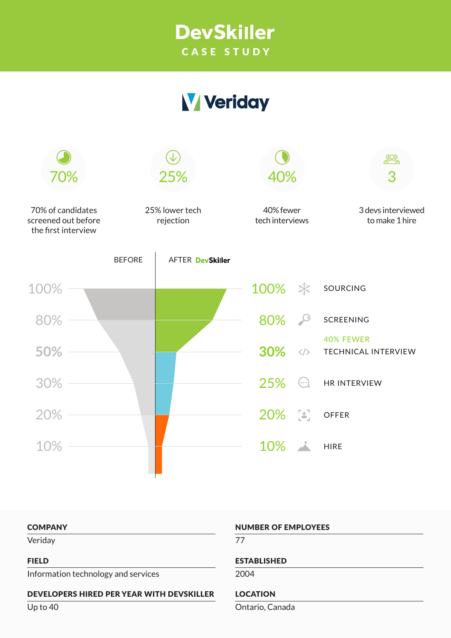## **DevSkiller** CASE STUDY

# **V** Veriday



#### **COMPANY**

Veriday

#### FIELD

Information technology and services

#### DEVELOPERS HIRED PER YEAR WITH DEVSKILLER

Up to 40

#### NUMBER OF EMPLOYEES

77

#### ESTABLISHED

2004

## LOCATION

Ontario, Canada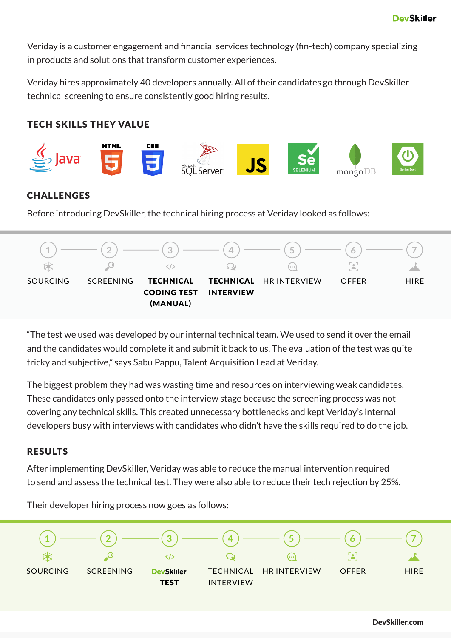Veriday is a customer engagement and financial services technology (fin-tech) company specializing in products and solutions that transform customer experiences.

Veriday hires approximately 40 developers annually. All of their candidates go through DevSkiller technical screening to ensure consistently good hiring results.

## TECH SKILLS THEY VALUE



## CHALLENGES

Before introducing DevSkiller, the technical hiring process at Veriday looked as follows:



"The test we used was developed by our internal technical team. We used to send it over the email and the candidates would complete it and submit it back to us. The evaluation of the test was quite tricky and subjective," says Sabu Pappu, Talent Acquisition Lead at Veriday.

The biggest problem they had was wasting time and resources on interviewing weak candidates. These candidates only passed onto the interview stage because the screening process was not covering any technical skills. This created unnecessary bottlenecks and kept Veriday's internal developers busy with interviews with candidates who didn't have the skills required to do the job.

## RESULTS

After implementing DevSkiller, Veriday was able to reduce the manual intervention required to send and assess the technical test. They were also able to reduce their tech rejection by 25%.



Their developer hiring process now goes as follows: